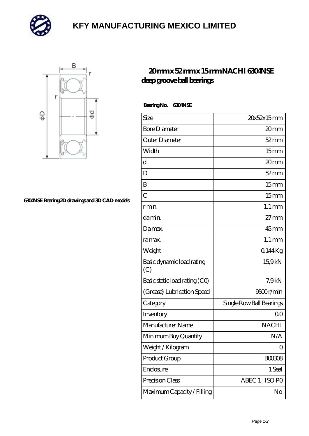

## **[KFY MANUFACTURING MEXICO LIMITED](https://m.mailemotion.tv)**



## **[6304NSE Bearing 2D drawings and 3D CAD models](https://m.mailemotion.tv/pic-412958.html)**

## **[20 mm x 52 mm x 15 mm NACHI 6304NSE](https://m.mailemotion.tv/aw-412958-nachi-6304nse-deep-groove-ball-bearings.html) [deep groove ball bearings](https://m.mailemotion.tv/aw-412958-nachi-6304nse-deep-groove-ball-bearings.html)**

 **Bearing No. 6304NSE**

| Size                             | 20x52x15mm               |
|----------------------------------|--------------------------|
| <b>Bore Diameter</b>             | 20mm                     |
| Outer Diameter                   | $52 \, \mathrm{mm}$      |
| Width                            | 15 <sub>mm</sub>         |
| d                                | 20mm                     |
| D                                | $52 \, \mathrm{mm}$      |
| B                                | 15mm                     |
| $\overline{C}$                   | 15 <sub>mm</sub>         |
| r min.                           | $1.1 \,\mathrm{mm}$      |
| da min.                          | $27 \text{mm}$           |
| Damax.                           | $45$ mm                  |
| ra max.                          | $1.1 \text{ mm}$         |
| Weight                           | 0.144Kg                  |
| Basic dynamic load rating<br>(C) | 15.9kN                   |
| Basic static load rating (CO)    | 7.9 <sub>kN</sub>        |
| (Grease) Lubrication Speed       | 9500r/min                |
| Category                         | Single Row Ball Bearings |
| Inventory                        | Q0                       |
| Manufacturer Name                | <b>NACHI</b>             |
| Minimum Buy Quantity             | N/A                      |
| Weight / Kilogram                | 0                        |
| Product Group                    | <b>BOO3O8</b>            |
| Enclosure                        | 1 Seal                   |
| Precision Class                  | ABEC 1   ISO PO          |
| Maximum Capacity / Filling       | No                       |